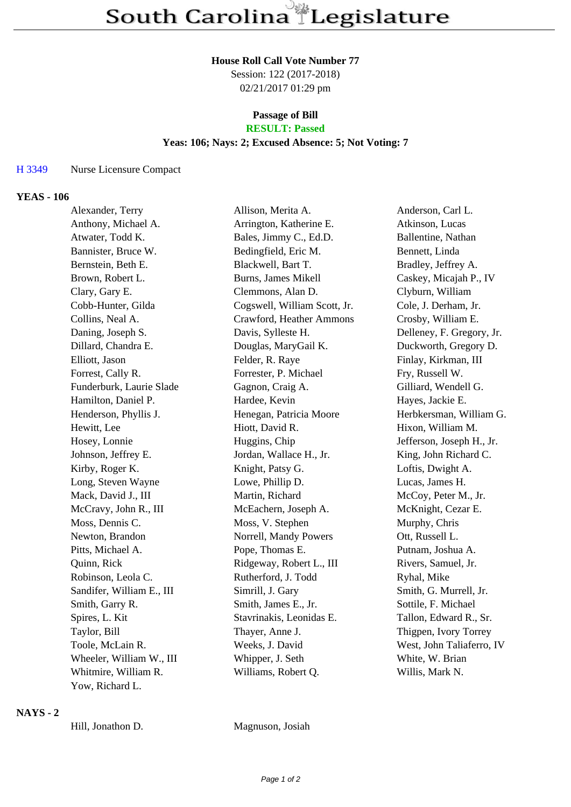#### **House Roll Call Vote Number 77**

Session: 122 (2017-2018) 02/21/2017 01:29 pm

# **Passage of Bill**

# **RESULT: Passed**

## **Yeas: 106; Nays: 2; Excused Absence: 5; Not Voting: 7**

#### H 3349 Nurse Licensure Compact

#### **YEAS - 106**

| Alexander, Terry          | Allison, Merita A.           | Anderson, Carl L.         |
|---------------------------|------------------------------|---------------------------|
| Anthony, Michael A.       | Arrington, Katherine E.      | Atkinson, Lucas           |
| Atwater, Todd K.          | Bales, Jimmy C., Ed.D.       | Ballentine, Nathan        |
| Bannister, Bruce W.       | Bedingfield, Eric M.         | Bennett, Linda            |
| Bernstein, Beth E.        | Blackwell, Bart T.           | Bradley, Jeffrey A.       |
| Brown, Robert L.          | <b>Burns, James Mikell</b>   | Caskey, Micajah P., IV    |
| Clary, Gary E.            | Clemmons, Alan D.            | Clyburn, William          |
| Cobb-Hunter, Gilda        | Cogswell, William Scott, Jr. | Cole, J. Derham, Jr.      |
| Collins, Neal A.          | Crawford, Heather Ammons     | Crosby, William E.        |
| Daning, Joseph S.         | Davis, Sylleste H.           | Delleney, F. Gregory, Jr. |
| Dillard, Chandra E.       | Douglas, MaryGail K.         | Duckworth, Gregory D.     |
| Elliott, Jason            | Felder, R. Raye              | Finlay, Kirkman, III      |
| Forrest, Cally R.         | Forrester, P. Michael        | Fry, Russell W.           |
| Funderburk, Laurie Slade  | Gagnon, Craig A.             | Gilliard, Wendell G.      |
| Hamilton, Daniel P.       | Hardee, Kevin                | Hayes, Jackie E.          |
| Henderson, Phyllis J.     | Henegan, Patricia Moore      | Herbkersman, William G.   |
| Hewitt, Lee               | Hiott, David R.              | Hixon, William M.         |
| Hosey, Lonnie             | Huggins, Chip                | Jefferson, Joseph H., Jr. |
| Johnson, Jeffrey E.       | Jordan, Wallace H., Jr.      | King, John Richard C.     |
| Kirby, Roger K.           | Knight, Patsy G.             | Loftis, Dwight A.         |
| Long, Steven Wayne        | Lowe, Phillip D.             | Lucas, James H.           |
| Mack, David J., III       | Martin, Richard              | McCoy, Peter M., Jr.      |
| McCravy, John R., III     | McEachern, Joseph A.         | McKnight, Cezar E.        |
| Moss, Dennis C.           | Moss, V. Stephen             | Murphy, Chris             |
| Newton, Brandon           | Norrell, Mandy Powers        | Ott, Russell L.           |
| Pitts, Michael A.         | Pope, Thomas E.              | Putnam, Joshua A.         |
| Quinn, Rick               | Ridgeway, Robert L., III     | Rivers, Samuel, Jr.       |
| Robinson, Leola C.        | Rutherford, J. Todd          | Ryhal, Mike               |
| Sandifer, William E., III | Simrill, J. Gary             | Smith, G. Murrell, Jr.    |
| Smith, Garry R.           | Smith, James E., Jr.         | Sottile, F. Michael       |
| Spires, L. Kit            | Stavrinakis, Leonidas E.     | Tallon, Edward R., Sr.    |
| Taylor, Bill              | Thayer, Anne J.              | Thigpen, Ivory Torrey     |
| Toole, McLain R.          | Weeks, J. David              | West, John Taliaferro, IV |
| Wheeler, William W., III  | Whipper, J. Seth             | White, W. Brian           |
| Whitmire, William R.      | Williams, Robert Q.          | Willis, Mark N.           |
| Yow, Richard L.           |                              |                           |

### **NAYS - 2**

Hill, Jonathon D. Magnuson, Josiah